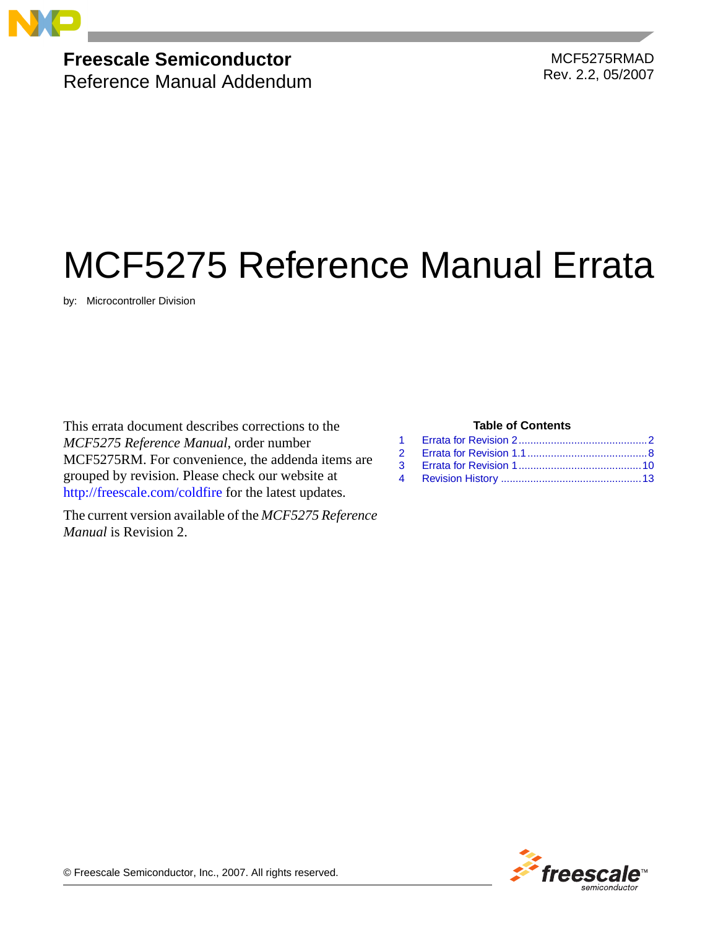

**Freescale Semiconductor** Reference Manual Addendum

MCF5275RMAD Rev. 2.2, 05/2007

# MCF5275 Reference Manual Errata

by: Microcontroller Division

This errata document describes corrections to the **Table of Contents** *MCF5275 Reference Manual*, order number MCF5275RM. For convenience, the addenda items are grouped by revision. Please check our website at <http://freescale.com/coldfire>for the latest updates.

The current version available of the *MCF5275 Reference Manual* is Revision 2.



© Freescale Semiconductor, Inc., 2007. All rights reserved.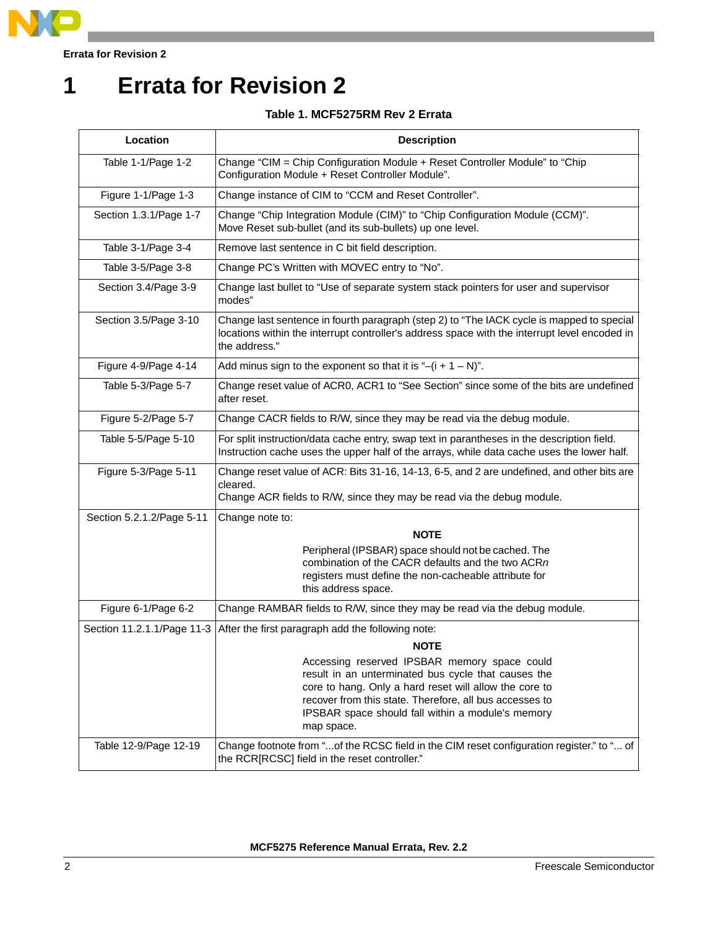

## <span id="page-1-0"></span>**1 Errata for Revision 2**

#### **Table 1. MCF5275RM Rev 2 Errata**

| Location                   | <b>Description</b>                                                                                                                                                                                          |  |  |  |
|----------------------------|-------------------------------------------------------------------------------------------------------------------------------------------------------------------------------------------------------------|--|--|--|
| Table 1-1/Page 1-2         | Change "CIM = Chip Configuration Module + Reset Controller Module" to "Chip<br>Configuration Module + Reset Controller Module".                                                                             |  |  |  |
| Figure 1-1/Page 1-3        | Change instance of CIM to "CCM and Reset Controller".                                                                                                                                                       |  |  |  |
| Section 1.3.1/Page 1-7     | Change "Chip Integration Module (CIM)" to "Chip Configuration Module (CCM)".<br>Move Reset sub-bullet (and its sub-bullets) up one level.                                                                   |  |  |  |
| Table 3-1/Page 3-4         | Remove last sentence in C bit field description.                                                                                                                                                            |  |  |  |
| Table 3-5/Page 3-8         | Change PC's Written with MOVEC entry to "No".                                                                                                                                                               |  |  |  |
| Section 3.4/Page 3-9       | Change last bullet to "Use of separate system stack pointers for user and supervisor<br>modes"                                                                                                              |  |  |  |
| Section 3.5/Page 3-10      | Change last sentence in fourth paragraph (step 2) to "The IACK cycle is mapped to special<br>locations within the interrupt controller's address space with the interrupt level encoded in<br>the address." |  |  |  |
| Figure 4-9/Page 4-14       | Add minus sign to the exponent so that it is " $-(i + 1 - N)$ ".                                                                                                                                            |  |  |  |
| Table 5-3/Page 5-7         | Change reset value of ACR0, ACR1 to "See Section" since some of the bits are undefined<br>after reset.                                                                                                      |  |  |  |
| Figure 5-2/Page 5-7        | Change CACR fields to R/W, since they may be read via the debug module.                                                                                                                                     |  |  |  |
| Table 5-5/Page 5-10        | For split instruction/data cache entry, swap text in parantheses in the description field.<br>Instruction cache uses the upper half of the arrays, while data cache uses the lower half.                    |  |  |  |
| Figure 5-3/Page 5-11       | Change reset value of ACR: Bits 31-16, 14-13, 6-5, and 2 are undefined, and other bits are<br>cleared.<br>Change ACR fields to R/W, since they may be read via the debug module.                            |  |  |  |
| Section 5.2.1.2/Page 5-11  | Change note to:                                                                                                                                                                                             |  |  |  |
|                            | <b>NOTE</b>                                                                                                                                                                                                 |  |  |  |
|                            | Peripheral (IPSBAR) space should not be cached. The<br>combination of the CACR defaults and the two ACRn<br>registers must define the non-cacheable attribute for                                           |  |  |  |
|                            | this address space.                                                                                                                                                                                         |  |  |  |
| Figure 6-1/Page 6-2        | Change RAMBAR fields to R/W, since they may be read via the debug module.                                                                                                                                   |  |  |  |
| Section 11.2.1.1/Page 11-3 | After the first paragraph add the following note:                                                                                                                                                           |  |  |  |
|                            | <b>NOTE</b>                                                                                                                                                                                                 |  |  |  |
|                            | Accessing reserved IPSBAR memory space could                                                                                                                                                                |  |  |  |
|                            | result in an unterminated bus cycle that causes the<br>core to hang. Only a hard reset will allow the core to                                                                                               |  |  |  |
|                            | recover from this state. Therefore, all bus accesses to                                                                                                                                                     |  |  |  |
|                            | IPSBAR space should fall within a module's memory                                                                                                                                                           |  |  |  |
|                            | map space.                                                                                                                                                                                                  |  |  |  |
| Table 12-9/Page 12-19      | Change footnote from "of the RCSC field in the CIM reset configuration register." to " of<br>the RCR[RCSC] field in the reset controller."                                                                  |  |  |  |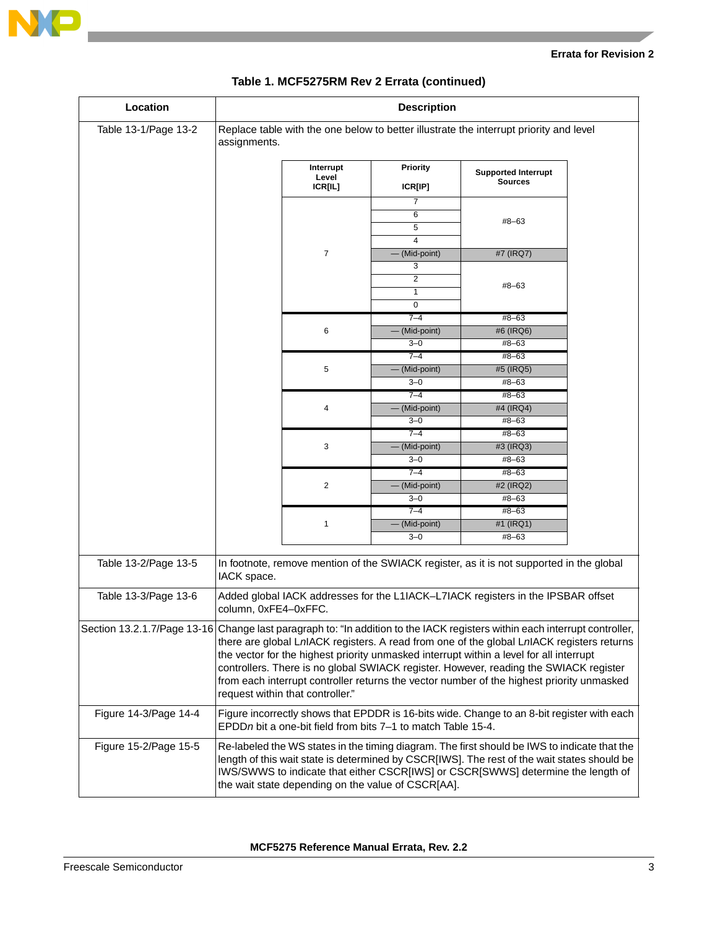

 $\overline{\phantom{a}}$ 

| Location              | <b>Description</b>                                                                                                                                                                                                                                                                                                                                                                                                                                                                                                                           |                       |                    |                                              |  |  |
|-----------------------|----------------------------------------------------------------------------------------------------------------------------------------------------------------------------------------------------------------------------------------------------------------------------------------------------------------------------------------------------------------------------------------------------------------------------------------------------------------------------------------------------------------------------------------------|-----------------------|--------------------|----------------------------------------------|--|--|
| Table 13-1/Page 13-2  | Replace table with the one below to better illustrate the interrupt priority and level<br>assignments.                                                                                                                                                                                                                                                                                                                                                                                                                                       |                       |                    |                                              |  |  |
|                       |                                                                                                                                                                                                                                                                                                                                                                                                                                                                                                                                              | Priority<br>Interrupt |                    |                                              |  |  |
|                       |                                                                                                                                                                                                                                                                                                                                                                                                                                                                                                                                              | Level                 |                    | <b>Supported Interrupt</b><br><b>Sources</b> |  |  |
|                       |                                                                                                                                                                                                                                                                                                                                                                                                                                                                                                                                              | ICR[IL]               | ICR[IP]            |                                              |  |  |
|                       |                                                                                                                                                                                                                                                                                                                                                                                                                                                                                                                                              |                       | 7                  |                                              |  |  |
|                       |                                                                                                                                                                                                                                                                                                                                                                                                                                                                                                                                              |                       | 6                  | #8-63                                        |  |  |
|                       |                                                                                                                                                                                                                                                                                                                                                                                                                                                                                                                                              |                       | 5                  |                                              |  |  |
|                       |                                                                                                                                                                                                                                                                                                                                                                                                                                                                                                                                              |                       | 4                  |                                              |  |  |
|                       |                                                                                                                                                                                                                                                                                                                                                                                                                                                                                                                                              | $\overline{7}$        | - (Mid-point)<br>3 | #7 (IRQ7)                                    |  |  |
|                       |                                                                                                                                                                                                                                                                                                                                                                                                                                                                                                                                              |                       | $\overline{2}$     |                                              |  |  |
|                       |                                                                                                                                                                                                                                                                                                                                                                                                                                                                                                                                              |                       | 1                  | #8-63                                        |  |  |
|                       |                                                                                                                                                                                                                                                                                                                                                                                                                                                                                                                                              |                       | 0                  |                                              |  |  |
|                       |                                                                                                                                                                                                                                                                                                                                                                                                                                                                                                                                              |                       | $7 - 4$            | $#8 - 63$                                    |  |  |
|                       |                                                                                                                                                                                                                                                                                                                                                                                                                                                                                                                                              | 6                     | - (Mid-point)      | #6 (IRQ6)                                    |  |  |
|                       |                                                                                                                                                                                                                                                                                                                                                                                                                                                                                                                                              |                       | $3 - 0$            | #8-63                                        |  |  |
|                       |                                                                                                                                                                                                                                                                                                                                                                                                                                                                                                                                              |                       | $7 - 4$            | $#8 - 63$                                    |  |  |
|                       |                                                                                                                                                                                                                                                                                                                                                                                                                                                                                                                                              | 5                     | (Mid-point)        | #5 (IRQ5)                                    |  |  |
|                       |                                                                                                                                                                                                                                                                                                                                                                                                                                                                                                                                              |                       | $3 - 0$            | $#8 - 63$                                    |  |  |
|                       |                                                                                                                                                                                                                                                                                                                                                                                                                                                                                                                                              |                       | $7 - 4$            | $#8 - 63$                                    |  |  |
|                       |                                                                                                                                                                                                                                                                                                                                                                                                                                                                                                                                              | 4                     | - (Mid-point)      | #4 (IRQ4)                                    |  |  |
|                       |                                                                                                                                                                                                                                                                                                                                                                                                                                                                                                                                              |                       | $3 - 0$            | #8-63                                        |  |  |
|                       |                                                                                                                                                                                                                                                                                                                                                                                                                                                                                                                                              |                       | $7 - 4$            | $#8 - 63$                                    |  |  |
|                       |                                                                                                                                                                                                                                                                                                                                                                                                                                                                                                                                              | 3                     | - (Mid-point)      | #3 (IRQ3)                                    |  |  |
|                       |                                                                                                                                                                                                                                                                                                                                                                                                                                                                                                                                              |                       | $3 - 0$            | #8-63                                        |  |  |
|                       |                                                                                                                                                                                                                                                                                                                                                                                                                                                                                                                                              |                       | $7 - 4$            | $#8 - 63$                                    |  |  |
|                       |                                                                                                                                                                                                                                                                                                                                                                                                                                                                                                                                              | 2<br>1                | - (Mid-point)      | #2 (IRQ2)                                    |  |  |
|                       |                                                                                                                                                                                                                                                                                                                                                                                                                                                                                                                                              |                       | $3 - 0$            | #8-63                                        |  |  |
|                       |                                                                                                                                                                                                                                                                                                                                                                                                                                                                                                                                              |                       | $7 - 4$            | $#8 - 63$                                    |  |  |
|                       |                                                                                                                                                                                                                                                                                                                                                                                                                                                                                                                                              |                       | (Mid-point)        | #1 (IRQ1)                                    |  |  |
|                       |                                                                                                                                                                                                                                                                                                                                                                                                                                                                                                                                              |                       | $3 - 0$            | #8-63                                        |  |  |
| Table 13-2/Page 13-5  | In footnote, remove mention of the SWIACK register, as it is not supported in the global<br>IACK space.                                                                                                                                                                                                                                                                                                                                                                                                                                      |                       |                    |                                              |  |  |
| Table 13-3/Page 13-6  | Added global IACK addresses for the L1IACK-L7IACK registers in the IPSBAR offset<br>column, 0xFE4-0xFFC.                                                                                                                                                                                                                                                                                                                                                                                                                                     |                       |                    |                                              |  |  |
|                       | Section 13.2.1.7/Page 13-16 Change last paragraph to: "In addition to the IACK registers within each interrupt controller,<br>there are global LnIACK registers. A read from one of the global LnIACK registers returns<br>the vector for the highest priority unmasked interrupt within a level for all interrupt<br>controllers. There is no global SWIACK register. However, reading the SWIACK register<br>from each interrupt controller returns the vector number of the highest priority unmasked<br>request within that controller." |                       |                    |                                              |  |  |
| Figure 14-3/Page 14-4 | Figure incorrectly shows that EPDDR is 16-bits wide. Change to an 8-bit register with each<br>EPDDn bit a one-bit field from bits 7–1 to match Table 15-4.                                                                                                                                                                                                                                                                                                                                                                                   |                       |                    |                                              |  |  |
| Figure 15-2/Page 15-5 | Re-labeled the WS states in the timing diagram. The first should be IWS to indicate that the<br>length of this wait state is determined by CSCR[IWS]. The rest of the wait states should be<br>IWS/SWWS to indicate that either CSCR[IWS] or CSCR[SWWS] determine the length of<br>the wait state depending on the value of CSCR[AA].                                                                                                                                                                                                        |                       |                    |                                              |  |  |

#### **Table 1. MCF5275RM Rev 2 Errata (continued)**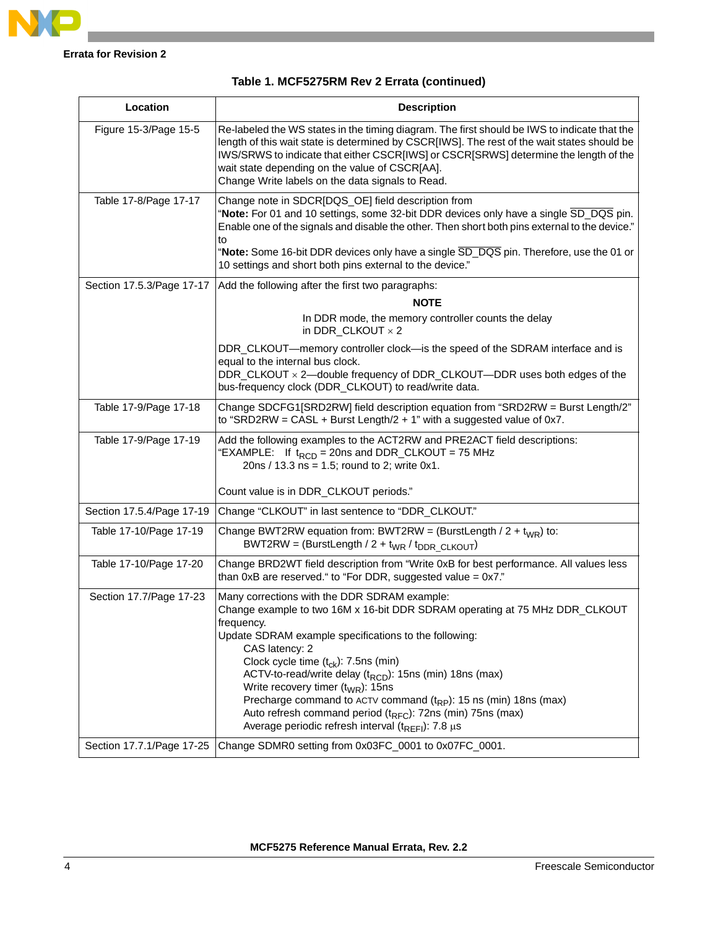

| Location                  | <b>Description</b>                                                                                                                                                                                                                                                                                                                                                                                                                                                                                                                                                                                           |
|---------------------------|--------------------------------------------------------------------------------------------------------------------------------------------------------------------------------------------------------------------------------------------------------------------------------------------------------------------------------------------------------------------------------------------------------------------------------------------------------------------------------------------------------------------------------------------------------------------------------------------------------------|
| Figure 15-3/Page 15-5     | Re-labeled the WS states in the timing diagram. The first should be IWS to indicate that the<br>length of this wait state is determined by CSCR[IWS]. The rest of the wait states should be<br>IWS/SRWS to indicate that either CSCR[IWS] or CSCR[SRWS] determine the length of the<br>wait state depending on the value of CSCR[AA].<br>Change Write labels on the data signals to Read.                                                                                                                                                                                                                    |
| Table 17-8/Page 17-17     | Change note in SDCR[DQS_OE] field description from<br>"Note: For 01 and 10 settings, some 32-bit DDR devices only have a single SD_DQS pin.<br>Enable one of the signals and disable the other. Then short both pins external to the device."<br>to<br>"Note: Some 16-bit DDR devices only have a single SD_DQS pin. Therefore, use the 01 or<br>10 settings and short both pins external to the device."                                                                                                                                                                                                    |
| Section 17.5.3/Page 17-17 | Add the following after the first two paragraphs:                                                                                                                                                                                                                                                                                                                                                                                                                                                                                                                                                            |
|                           | <b>NOTE</b>                                                                                                                                                                                                                                                                                                                                                                                                                                                                                                                                                                                                  |
|                           | In DDR mode, the memory controller counts the delay<br>in DDR_CLKOUT $\times$ 2                                                                                                                                                                                                                                                                                                                                                                                                                                                                                                                              |
|                           | DDR_CLKOUT—memory controller clock—is the speed of the SDRAM interface and is<br>equal to the internal bus clock.<br>DDR_CLKOUT x 2-double frequency of DDR_CLKOUT-DDR uses both edges of the<br>bus-frequency clock (DDR_CLKOUT) to read/write data.                                                                                                                                                                                                                                                                                                                                                        |
| Table 17-9/Page 17-18     | Change SDCFG1[SRD2RW] field description equation from "SRD2RW = Burst Length/2"<br>to "SRD2RW = CASL + Burst Length/2 + 1" with a suggested value of 0x7.                                                                                                                                                                                                                                                                                                                                                                                                                                                    |
| Table 17-9/Page 17-19     | Add the following examples to the ACT2RW and PRE2ACT field descriptions:<br>"EXAMPLE: If t <sub>RCD</sub> = 20ns and DDR_CLKOUT = 75 MHz<br>20ns / 13.3 ns = 1.5; round to 2; write 0x1.                                                                                                                                                                                                                                                                                                                                                                                                                     |
|                           | Count value is in DDR_CLKOUT periods."                                                                                                                                                                                                                                                                                                                                                                                                                                                                                                                                                                       |
| Section 17.5.4/Page 17-19 | Change "CLKOUT" in last sentence to "DDR_CLKOUT."                                                                                                                                                                                                                                                                                                                                                                                                                                                                                                                                                            |
| Table 17-10/Page 17-19    | Change BWT2RW equation from: BWT2RW = (BurstLength / $2 + t_{WR}$ ) to:<br>BWT2RW = (BurstLength / 2 + t <sub>WR</sub> / t <sub>DDR_CLKOUT</sub> )                                                                                                                                                                                                                                                                                                                                                                                                                                                           |
| Table 17-10/Page 17-20    | Change BRD2WT field description from "Write 0xB for best performance. All values less<br>than $0xB$ are reserved." to "For DDR, suggested value = $0x7$ ."                                                                                                                                                                                                                                                                                                                                                                                                                                                   |
| Section 17.7/Page 17-23   | Many corrections with the DDR SDRAM example:<br>Change example to two 16M x 16-bit DDR SDRAM operating at 75 MHz DDR_CLKOUT<br>frequency.<br>Update SDRAM example specifications to the following:<br>CAS latency: 2<br>Clock cycle time $(t_{ck})$ : 7.5ns (min)<br>ACTV-to-read/write delay (t <sub>RCD</sub> ): 15ns (min) 18ns (max)<br>Write recovery timer $(t_{WR})$ : 15ns<br>Precharge command to ACTV command (t <sub>RP</sub> ): 15 ns (min) 18ns (max)<br>Auto refresh command period (t <sub>RFC</sub> ): 72ns (min) 75ns (max)<br>Average periodic refresh interval $(t_{RFFI})$ : 7.8 $\mu$ s |
| Section 17.7.1/Page 17-25 | Change SDMR0 setting from 0x03FC_0001 to 0x07FC_0001.                                                                                                                                                                                                                                                                                                                                                                                                                                                                                                                                                        |

#### **Table 1. MCF5275RM Rev 2 Errata (continued)**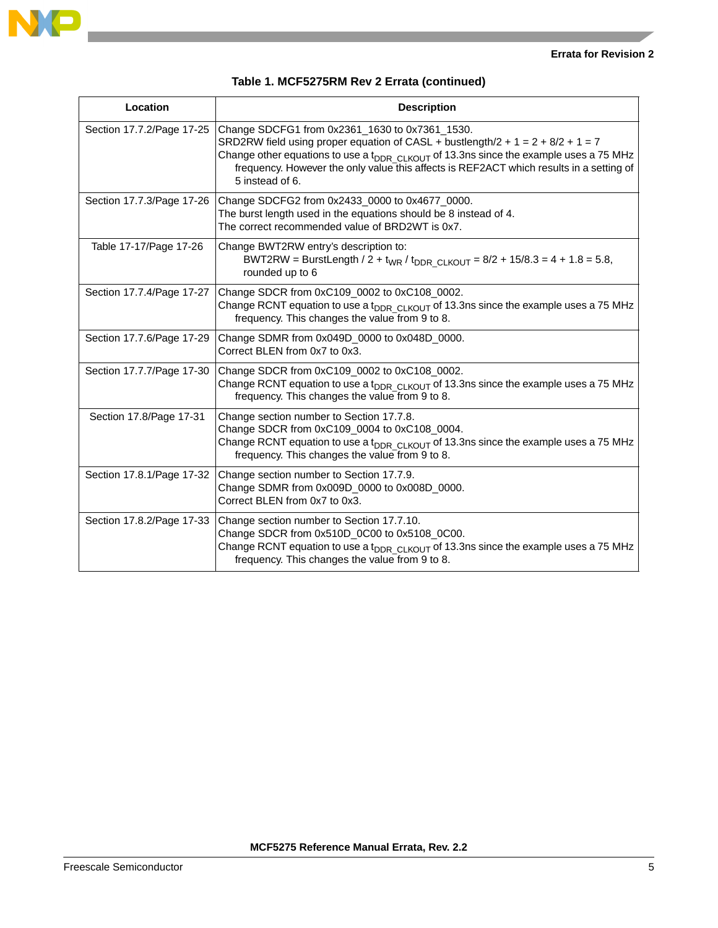

a sa kacamatan ing Kabupatèn Kabupatèn Ing

| Table 1. MCF5275RM Rev 2 Errata (continued) |  |
|---------------------------------------------|--|
|---------------------------------------------|--|

| Location                  | <b>Description</b>                                                                                                                                                                                                                                                                                                                                     |
|---------------------------|--------------------------------------------------------------------------------------------------------------------------------------------------------------------------------------------------------------------------------------------------------------------------------------------------------------------------------------------------------|
| Section 17.7.2/Page 17-25 | Change SDCFG1 from 0x2361_1630 to 0x7361_1530.<br>SRD2RW field using proper equation of CASL + bustlength/2 + 1 = $2 + 8/2 + 1 = 7$<br>Change other equations to use a t <sub>DDR CLKOUT</sub> of 13.3ns since the example uses a 75 MHz<br>frequency. However the only value this affects is REF2ACT which results in a setting of<br>5 instead of 6. |
| Section 17.7.3/Page 17-26 | Change SDCFG2 from 0x2433_0000 to 0x4677_0000.<br>The burst length used in the equations should be 8 instead of 4.<br>The correct recommended value of BRD2WT is 0x7.                                                                                                                                                                                  |
| Table 17-17/Page 17-26    | Change BWT2RW entry's description to:<br>BWT2RW = BurstLength / 2 + t <sub>WR</sub> / t <sub>DDR CLKOUT</sub> = $8/2$ + 15/8.3 = 4 + 1.8 = 5.8,<br>rounded up to 6                                                                                                                                                                                     |
| Section 17.7.4/Page 17-27 | Change SDCR from 0xC109_0002 to 0xC108_0002.<br>Change RCNT equation to use a $t_{\text{DDR CLKOUT}}$ of 13.3ns since the example uses a 75 MHz<br>frequency. This changes the value from 9 to 8.                                                                                                                                                      |
| Section 17.7.6/Page 17-29 | Change SDMR from 0x049D_0000 to 0x048D_0000.<br>Correct BLEN from 0x7 to 0x3.                                                                                                                                                                                                                                                                          |
| Section 17.7.7/Page 17-30 | Change SDCR from 0xC109_0002 to 0xC108_0002.<br>Change RCNT equation to use a t <sub>DDR CLKOUT</sub> of 13.3ns since the example uses a 75 MHz<br>frequency. This changes the value from 9 to 8.                                                                                                                                                      |
| Section 17.8/Page 17-31   | Change section number to Section 17.7.8.<br>Change SDCR from 0xC109_0004 to 0xC108_0004.<br>Change RCNT equation to use a $t_{\text{DDR CLKOUT}}$ of 13.3ns since the example uses a 75 MHz<br>frequency. This changes the value from 9 to 8.                                                                                                          |
| Section 17.8.1/Page 17-32 | Change section number to Section 17.7.9.<br>Change SDMR from 0x009D_0000 to 0x008D_0000.<br>Correct BLEN from 0x7 to 0x3.                                                                                                                                                                                                                              |
| Section 17.8.2/Page 17-33 | Change section number to Section 17.7.10.<br>Change SDCR from 0x510D_0C00 to 0x5108_0C00.<br>Change RCNT equation to use a t <sub>DDR CLKOUT</sub> of 13.3ns since the example uses a 75 MHz<br>frequency. This changes the value from 9 to 8.                                                                                                         |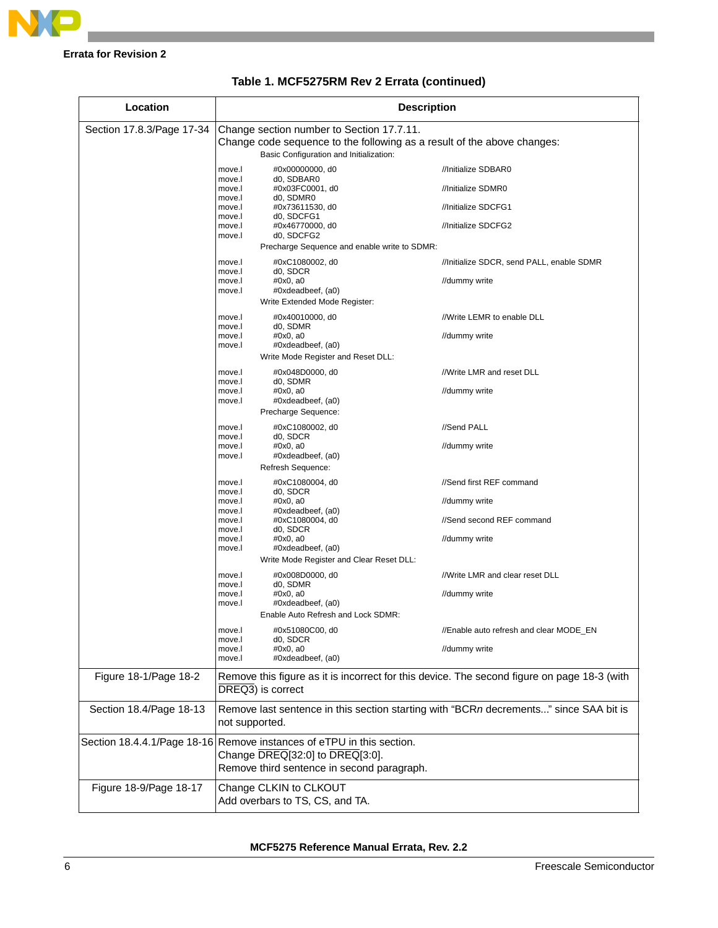

| Location                  | <b>Description</b>                                                                                                                                              |                                           |  |  |  |
|---------------------------|-----------------------------------------------------------------------------------------------------------------------------------------------------------------|-------------------------------------------|--|--|--|
| Section 17.8.3/Page 17-34 | Change section number to Section 17.7.11.<br>Change code sequence to the following as a result of the above changes:<br>Basic Configuration and Initialization: |                                           |  |  |  |
|                           | #0x00000000, d0<br>move.l                                                                                                                                       | //Initialize SDBAR0                       |  |  |  |
|                           | move.l<br>d0, SDBAR0<br>#0x03FC0001, d0<br>move.l<br>d0, SDMR0<br>move.l                                                                                        | //Initialize SDMR0                        |  |  |  |
|                           | move.<br>#0x73611530, d0<br>d0, SDCFG1<br>move.l                                                                                                                | //Initialize SDCFG1                       |  |  |  |
|                           | #0x46770000, d0<br>move.l<br>d0, SDCFG2<br>move.                                                                                                                | //Initialize SDCFG2                       |  |  |  |
|                           | Precharge Sequence and enable write to SDMR:                                                                                                                    |                                           |  |  |  |
|                           | #0xC1080002, d0<br>move.l<br>move.l<br>d0, SDCR                                                                                                                 | //Initialize SDCR, send PALL, enable SDMR |  |  |  |
|                           | #0x0, a0<br>move.<br>#0xdeadbeef, (a0)<br>move.                                                                                                                 | //dummy write                             |  |  |  |
|                           | Write Extended Mode Register:                                                                                                                                   |                                           |  |  |  |
|                           | #0x40010000, d0<br>move.l<br>d0, SDMR<br>move.l                                                                                                                 | //Write LEMR to enable DLL                |  |  |  |
|                           | #0x0, a0<br>move.l<br>move.<br>#0xdeadbeef, (a0)                                                                                                                | //dummy write                             |  |  |  |
|                           | Write Mode Register and Reset DLL:                                                                                                                              |                                           |  |  |  |
|                           | #0x048D0000, d0<br>move.<br>d0, SDMR<br>move.l                                                                                                                  | //Write LMR and reset DLL                 |  |  |  |
|                           | #0x0, a0<br>move.l<br>move.<br>#0xdeadbeef, (a0)                                                                                                                | //dummy write                             |  |  |  |
|                           | Precharge Sequence:                                                                                                                                             |                                           |  |  |  |
|                           | move.l<br>#0xC1080002, d0<br>d0, SDCR<br>move.l                                                                                                                 | //Send PALL                               |  |  |  |
|                           | move.<br>#0x0, a0<br>#0xdeadbeef, (a0)<br>move.l                                                                                                                | //dummy write                             |  |  |  |
|                           | Refresh Sequence:                                                                                                                                               |                                           |  |  |  |
|                           | move.l<br>#0xC1080004, d0<br>d0, SDCR<br>move.                                                                                                                  | //Send first REF command                  |  |  |  |
|                           | #0x0, a0<br>move.l<br>move.l<br>#0xdeadbeef, (a0)                                                                                                               | //dummy write                             |  |  |  |
|                           | move.<br>#0xC1080004, d0<br>d0, SDCR<br>move.l                                                                                                                  | //Send second REF command                 |  |  |  |
|                           | #0x0, a0<br>move.<br>#0xdeadbeef, (a0)<br>move.l                                                                                                                | //dummy write                             |  |  |  |
|                           | Write Mode Register and Clear Reset DLL:                                                                                                                        |                                           |  |  |  |
|                           | #0x008D0000, d0<br>move.l<br>d0, SDMR<br>move.                                                                                                                  | //Write LMR and clear reset DLL           |  |  |  |
|                           | #0x0, a0<br>move.<br>#0xdeadbeef, (a0)<br>move.l                                                                                                                | //dummy write                             |  |  |  |
|                           | Enable Auto Refresh and Lock SDMR:                                                                                                                              |                                           |  |  |  |
|                           | move.l<br>#0x51080C00, d0<br>move.l<br>d0, SDCR                                                                                                                 | //Enable auto refresh and clear MODE_EN   |  |  |  |
|                           | #0x0, a0<br>move.l<br>#0xdeadbeef, (a0)<br>move.l                                                                                                               | //dummy write                             |  |  |  |
| Figure 18-1/Page 18-2     | Remove this figure as it is incorrect for this device. The second figure on page 18-3 (with<br>DREQ3) is correct                                                |                                           |  |  |  |
| Section 18.4/Page 18-13   | Remove last sentence in this section starting with "BCRn decrements" since SAA bit is<br>not supported.                                                         |                                           |  |  |  |
|                           | Section 18.4.4.1/Page 18-16 Remove instances of eTPU in this section.<br>Change DREQ[32:0] to DREQ[3:0].<br>Remove third sentence in second paragraph.          |                                           |  |  |  |
| Figure 18-9/Page 18-17    | Change CLKIN to CLKOUT<br>Add overbars to TS, CS, and TA.                                                                                                       |                                           |  |  |  |

### **Table 1. MCF5275RM Rev 2 Errata (continued)**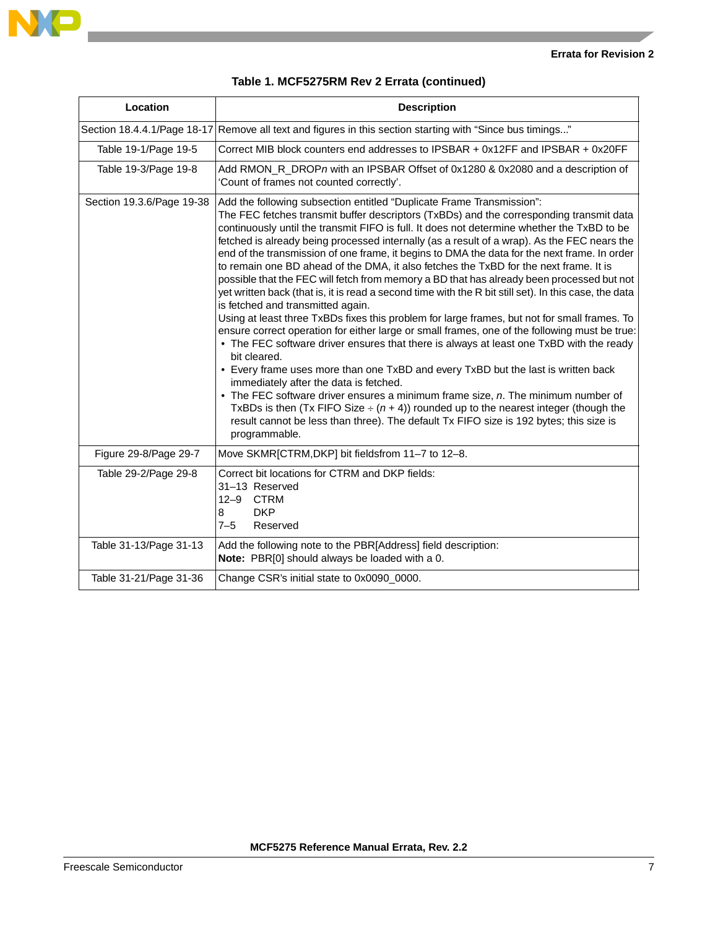

a sa kacamatan ing Kabupatèn Kabupatèn Ing



| Location                  | <b>Description</b>                                                                                                                                                                                                                                                                                                                                                                                                                                                                                                                                                                                                                                                                                                                                                                                                                                                                                                                                                                                                                                                                                                                                                                                                                                                                                                                                                                                                                                                                                                                       |  |  |  |
|---------------------------|------------------------------------------------------------------------------------------------------------------------------------------------------------------------------------------------------------------------------------------------------------------------------------------------------------------------------------------------------------------------------------------------------------------------------------------------------------------------------------------------------------------------------------------------------------------------------------------------------------------------------------------------------------------------------------------------------------------------------------------------------------------------------------------------------------------------------------------------------------------------------------------------------------------------------------------------------------------------------------------------------------------------------------------------------------------------------------------------------------------------------------------------------------------------------------------------------------------------------------------------------------------------------------------------------------------------------------------------------------------------------------------------------------------------------------------------------------------------------------------------------------------------------------------|--|--|--|
|                           | Section 18.4.4.1/Page 18-17 Remove all text and figures in this section starting with "Since bus timings"                                                                                                                                                                                                                                                                                                                                                                                                                                                                                                                                                                                                                                                                                                                                                                                                                                                                                                                                                                                                                                                                                                                                                                                                                                                                                                                                                                                                                                |  |  |  |
| Table 19-1/Page 19-5      | Correct MIB block counters end addresses to IPSBAR + 0x12FF and IPSBAR + 0x20FF                                                                                                                                                                                                                                                                                                                                                                                                                                                                                                                                                                                                                                                                                                                                                                                                                                                                                                                                                                                                                                                                                                                                                                                                                                                                                                                                                                                                                                                          |  |  |  |
| Table 19-3/Page 19-8      | Add RMON_R_DROPn with an IPSBAR Offset of 0x1280 & 0x2080 and a description of<br>'Count of frames not counted correctly'.                                                                                                                                                                                                                                                                                                                                                                                                                                                                                                                                                                                                                                                                                                                                                                                                                                                                                                                                                                                                                                                                                                                                                                                                                                                                                                                                                                                                               |  |  |  |
| Section 19.3.6/Page 19-38 | Add the following subsection entitled "Duplicate Frame Transmission":<br>The FEC fetches transmit buffer descriptors (TxBDs) and the corresponding transmit data<br>continuously until the transmit FIFO is full. It does not determine whether the TxBD to be<br>fetched is already being processed internally (as a result of a wrap). As the FEC nears the<br>end of the transmission of one frame, it begins to DMA the data for the next frame. In order<br>to remain one BD ahead of the DMA, it also fetches the TxBD for the next frame. It is<br>possible that the FEC will fetch from memory a BD that has already been processed but not<br>yet written back (that is, it is read a second time with the R bit still set). In this case, the data<br>is fetched and transmitted again.<br>Using at least three TxBDs fixes this problem for large frames, but not for small frames. To<br>ensure correct operation for either large or small frames, one of the following must be true:<br>• The FEC software driver ensures that there is always at least one TxBD with the ready<br>bit cleared.<br>• Every frame uses more than one TxBD and every TxBD but the last is written back<br>immediately after the data is fetched.<br>• The FEC software driver ensures a minimum frame size, n. The minimum number of<br>TxBDs is then (Tx FIFO Size $\div$ (n + 4)) rounded up to the nearest integer (though the<br>result cannot be less than three). The default Tx FIFO size is 192 bytes; this size is<br>programmable. |  |  |  |
| Figure 29-8/Page 29-7     | Move SKMR[CTRM, DKP] bit fieldsfrom 11-7 to 12-8.                                                                                                                                                                                                                                                                                                                                                                                                                                                                                                                                                                                                                                                                                                                                                                                                                                                                                                                                                                                                                                                                                                                                                                                                                                                                                                                                                                                                                                                                                        |  |  |  |
| Table 29-2/Page 29-8      | Correct bit locations for CTRM and DKP fields:<br>31-13 Reserved<br>$12 - 9$<br><b>CTRM</b><br><b>DKP</b><br>8<br>$7 - 5$<br>Reserved                                                                                                                                                                                                                                                                                                                                                                                                                                                                                                                                                                                                                                                                                                                                                                                                                                                                                                                                                                                                                                                                                                                                                                                                                                                                                                                                                                                                    |  |  |  |
| Table 31-13/Page 31-13    | Add the following note to the PBR[Address] field description:<br>Note: PBR[0] should always be loaded with a 0.                                                                                                                                                                                                                                                                                                                                                                                                                                                                                                                                                                                                                                                                                                                                                                                                                                                                                                                                                                                                                                                                                                                                                                                                                                                                                                                                                                                                                          |  |  |  |
| Table 31-21/Page 31-36    | Change CSR's initial state to 0x0090_0000.                                                                                                                                                                                                                                                                                                                                                                                                                                                                                                                                                                                                                                                                                                                                                                                                                                                                                                                                                                                                                                                                                                                                                                                                                                                                                                                                                                                                                                                                                               |  |  |  |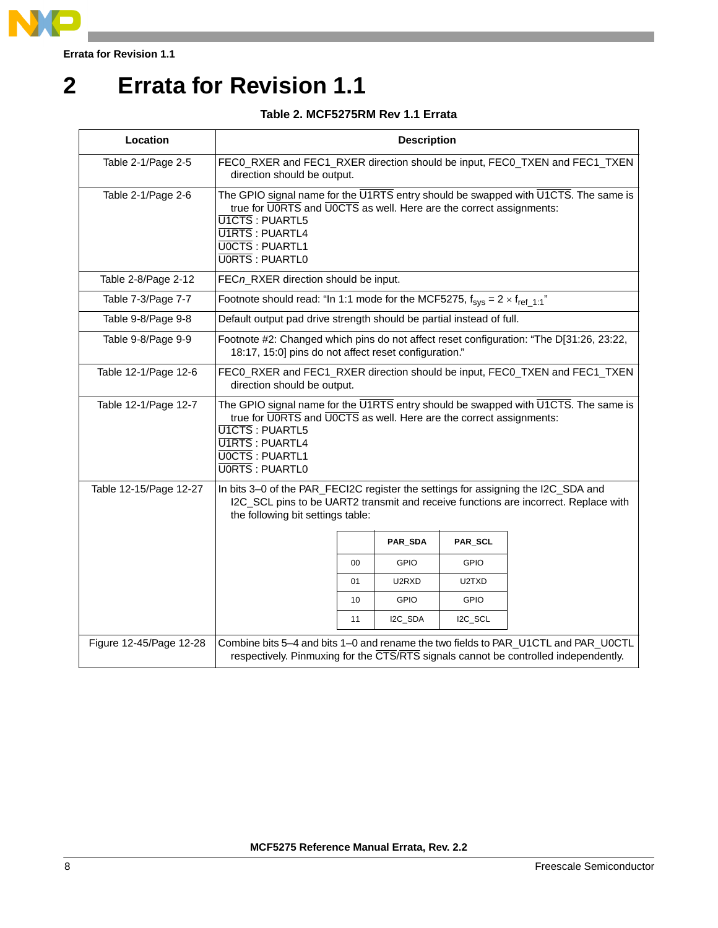

### <span id="page-7-0"></span>**2 Errata for Revision 1.1**

#### **Table 2. MCF5275RM Rev 1.1 Errata**

| Location                | <b>Description</b>                                                                                                                                                                                                                              |    |             |             |  |
|-------------------------|-------------------------------------------------------------------------------------------------------------------------------------------------------------------------------------------------------------------------------------------------|----|-------------|-------------|--|
| Table 2-1/Page 2-5      | FEC0_RXER and FEC1_RXER direction should be input, FEC0_TXEN and FEC1_TXEN<br>direction should be output.                                                                                                                                       |    |             |             |  |
| Table 2-1/Page 2-6      | The GPIO signal name for the U1RTS entry should be swapped with U1CTS. The same is<br>true for UORTS and UOCTS as well. Here are the correct assignments:<br>U1CTS: PUARTL5<br><b>U1RTS: PUARTL4</b><br>UOCTS: PUARTL1<br><b>UORTS: PUARTLO</b> |    |             |             |  |
| Table 2-8/Page 2-12     | FECn_RXER direction should be input.                                                                                                                                                                                                            |    |             |             |  |
| Table 7-3/Page 7-7      | Footnote should read: "In 1:1 mode for the MCF5275, $f_{sys} = 2 \times f_{ref 1:1}$ "                                                                                                                                                          |    |             |             |  |
| Table 9-8/Page 9-8      | Default output pad drive strength should be partial instead of full.                                                                                                                                                                            |    |             |             |  |
| Table 9-8/Page 9-9      | Footnote #2: Changed which pins do not affect reset configuration: "The D[31:26, 23:22,<br>18:17, 15:0] pins do not affect reset configuration."                                                                                                |    |             |             |  |
| Table 12-1/Page 12-6    | FEC0_RXER and FEC1_RXER direction should be input, FEC0_TXEN and FEC1_TXEN<br>direction should be output.                                                                                                                                       |    |             |             |  |
| Table 12-1/Page 12-7    | The GPIO signal name for the U1RTS entry should be swapped with U1CTS. The same is<br>true for UORTS and UOCTS as well. Here are the correct assignments:<br>U1CTS: PUARTL5<br>U1RTS: PUARTL4<br>UOCTS: PUARTL1<br><b>UORTS: PUARTLO</b>        |    |             |             |  |
| Table 12-15/Page 12-27  | In bits 3-0 of the PAR_FECI2C register the settings for assigning the I2C_SDA and<br>I2C_SCL pins to be UART2 transmit and receive functions are incorrect. Replace with<br>the following bit settings table:                                   |    |             |             |  |
|                         |                                                                                                                                                                                                                                                 |    | PAR_SDA     | PAR_SCL     |  |
|                         |                                                                                                                                                                                                                                                 | 00 | <b>GPIO</b> | <b>GPIO</b> |  |
|                         |                                                                                                                                                                                                                                                 | 01 | U2RXD       | U2TXD       |  |
|                         |                                                                                                                                                                                                                                                 | 10 | <b>GPIO</b> | <b>GPIO</b> |  |
|                         |                                                                                                                                                                                                                                                 | 11 | I2C_SDA     | I2C_SCL     |  |
| Figure 12-45/Page 12-28 | Combine bits 5-4 and bits 1-0 and rename the two fields to PAR_U1CTL and PAR_U0CTL<br>respectively. Pinmuxing for the CTS/RTS signals cannot be controlled independently.                                                                       |    |             |             |  |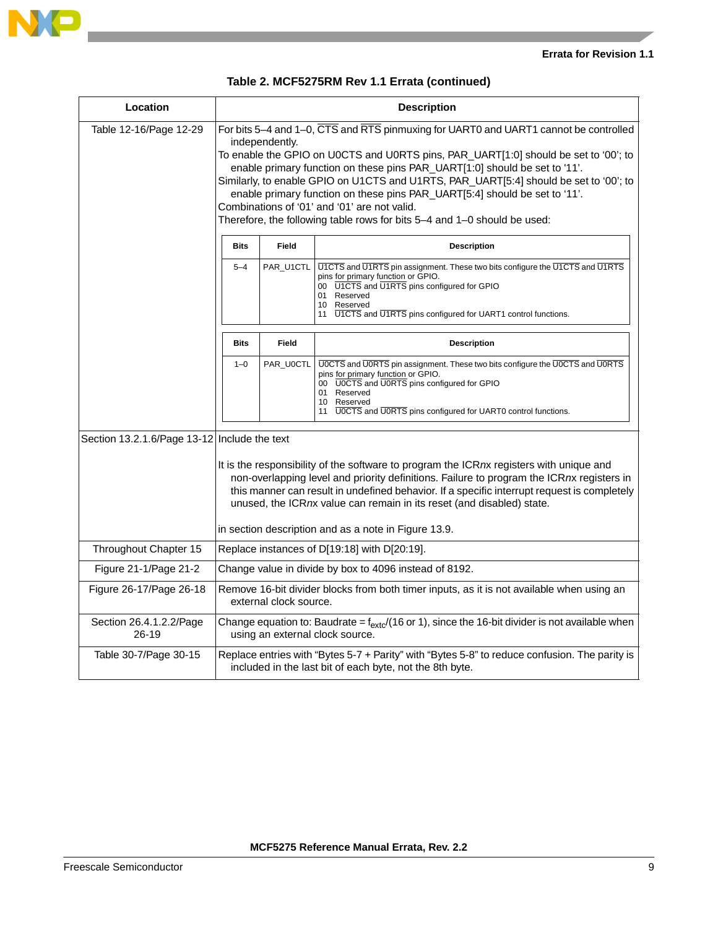

<u> 1989 - Johann Barnett, mars et al. 1989 - Anna ann an t-Anna ann an t-Anna ann an t-Anna ann an t-Anna ann an</u>



| Location                                                                                                                                                                                                                                                                                                                                                                                                             | <b>Description</b>                                                                                                                                                                                                                                                                                                                                                                                                                                                                                                                                                                                       |           |                                                                                                                                                                                                                                                                    |  |  |
|----------------------------------------------------------------------------------------------------------------------------------------------------------------------------------------------------------------------------------------------------------------------------------------------------------------------------------------------------------------------------------------------------------------------|----------------------------------------------------------------------------------------------------------------------------------------------------------------------------------------------------------------------------------------------------------------------------------------------------------------------------------------------------------------------------------------------------------------------------------------------------------------------------------------------------------------------------------------------------------------------------------------------------------|-----------|--------------------------------------------------------------------------------------------------------------------------------------------------------------------------------------------------------------------------------------------------------------------|--|--|
| Table 12-16/Page 12-29                                                                                                                                                                                                                                                                                                                                                                                               | For bits 5-4 and 1-0, $\overline{CTS}$ and $\overline{RTS}$ pinmuxing for UART0 and UART1 cannot be controlled<br>independently.<br>To enable the GPIO on U0CTS and U0RTS pins, PAR_UART[1:0] should be set to '00'; to<br>enable primary function on these pins PAR_UART[1:0] should be set to '11'.<br>Similarly, to enable GPIO on U1CTS and U1RTS, PAR_UART[5:4] should be set to '00'; to<br>enable primary function on these pins PAR_UART[5:4] should be set to '11'.<br>Combinations of '01' and '01' are not valid.<br>Therefore, the following table rows for bits 5-4 and 1-0 should be used: |           |                                                                                                                                                                                                                                                                    |  |  |
|                                                                                                                                                                                                                                                                                                                                                                                                                      | Field<br><b>Bits</b><br><b>Description</b>                                                                                                                                                                                                                                                                                                                                                                                                                                                                                                                                                               |           |                                                                                                                                                                                                                                                                    |  |  |
|                                                                                                                                                                                                                                                                                                                                                                                                                      | PAR_U1CTL<br>$5 - 4$<br>pins for primary function or GPIO.<br>00 U1CTS and U1RTS pins configured for GPIO<br>01 Reserved<br>10 Reserved<br>11 U1CTS and U1RTS pins configured for UART1 control functions.                                                                                                                                                                                                                                                                                                                                                                                               |           | U1CTS and U1RTS pin assignment. These two bits configure the U1CTS and U1RTS                                                                                                                                                                                       |  |  |
|                                                                                                                                                                                                                                                                                                                                                                                                                      | <b>Bits</b>                                                                                                                                                                                                                                                                                                                                                                                                                                                                                                                                                                                              | Field     | <b>Description</b>                                                                                                                                                                                                                                                 |  |  |
|                                                                                                                                                                                                                                                                                                                                                                                                                      | $1 - 0$                                                                                                                                                                                                                                                                                                                                                                                                                                                                                                                                                                                                  | PAR_U0CTL | UOCTS and UORTS pin assignment. These two bits configure the UOCTS and UORTS<br>pins for primary function or GPIO.<br>00 UOCTS and UORTS pins configured for GPIO<br>01 Reserved<br>10 Reserved<br>11 U0CTS and U0RTS pins configured for UART0 control functions. |  |  |
| Section 13.2.1.6/Page 13-12 Include the text                                                                                                                                                                                                                                                                                                                                                                         |                                                                                                                                                                                                                                                                                                                                                                                                                                                                                                                                                                                                          |           |                                                                                                                                                                                                                                                                    |  |  |
| It is the responsibility of the software to program the ICRnx registers with unique and<br>non-overlapping level and priority definitions. Failure to program the ICRnx registers in<br>this manner can result in undefined behavior. If a specific interrupt request is completely<br>unused, the ICRnx value can remain in its reset (and disabled) state.<br>in section description and as a note in Figure 13.9. |                                                                                                                                                                                                                                                                                                                                                                                                                                                                                                                                                                                                          |           |                                                                                                                                                                                                                                                                    |  |  |
| Throughout Chapter 15                                                                                                                                                                                                                                                                                                                                                                                                | Replace instances of D[19:18] with D[20:19].                                                                                                                                                                                                                                                                                                                                                                                                                                                                                                                                                             |           |                                                                                                                                                                                                                                                                    |  |  |
| Figure 21-1/Page 21-2                                                                                                                                                                                                                                                                                                                                                                                                | Change value in divide by box to 4096 instead of 8192.                                                                                                                                                                                                                                                                                                                                                                                                                                                                                                                                                   |           |                                                                                                                                                                                                                                                                    |  |  |
| Figure 26-17/Page 26-18                                                                                                                                                                                                                                                                                                                                                                                              | Remove 16-bit divider blocks from both timer inputs, as it is not available when using an<br>external clock source.                                                                                                                                                                                                                                                                                                                                                                                                                                                                                      |           |                                                                                                                                                                                                                                                                    |  |  |
| Section 26.4.1.2.2/Page<br>26-19                                                                                                                                                                                                                                                                                                                                                                                     | Change equation to: Baudrate = $f_{extc}/(16$ or 1), since the 16-bit divider is not available when<br>using an external clock source.                                                                                                                                                                                                                                                                                                                                                                                                                                                                   |           |                                                                                                                                                                                                                                                                    |  |  |
| Table 30-7/Page 30-15                                                                                                                                                                                                                                                                                                                                                                                                | Replace entries with "Bytes 5-7 + Parity" with "Bytes 5-8" to reduce confusion. The parity is<br>included in the last bit of each byte, not the 8th byte.                                                                                                                                                                                                                                                                                                                                                                                                                                                |           |                                                                                                                                                                                                                                                                    |  |  |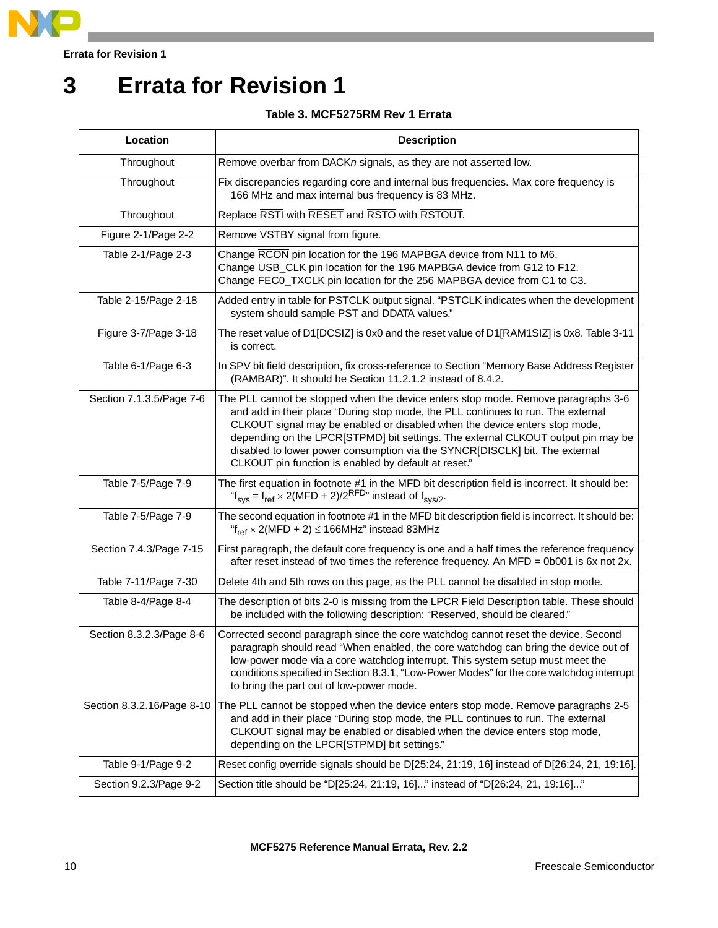

### <span id="page-9-0"></span>**3 Errata for Revision 1**

#### **Table 3. MCF5275RM Rev 1 Errata**

| Location                   | <b>Description</b>                                                                                                                                                                                                                                                                                                                                                                                                                                                             |
|----------------------------|--------------------------------------------------------------------------------------------------------------------------------------------------------------------------------------------------------------------------------------------------------------------------------------------------------------------------------------------------------------------------------------------------------------------------------------------------------------------------------|
| Throughout                 | Remove overbar from DACKn signals, as they are not asserted low.                                                                                                                                                                                                                                                                                                                                                                                                               |
| Throughout                 | Fix discrepancies regarding core and internal bus frequencies. Max core frequency is<br>166 MHz and max internal bus frequency is 83 MHz.                                                                                                                                                                                                                                                                                                                                      |
| Throughout                 | Replace RSTI with RESET and RSTO with RSTOUT.                                                                                                                                                                                                                                                                                                                                                                                                                                  |
| Figure 2-1/Page 2-2        | Remove VSTBY signal from figure.                                                                                                                                                                                                                                                                                                                                                                                                                                               |
| Table 2-1/Page 2-3         | Change RCON pin location for the 196 MAPBGA device from N11 to M6.<br>Change USB_CLK pin location for the 196 MAPBGA device from G12 to F12.<br>Change FEC0_TXCLK pin location for the 256 MAPBGA device from C1 to C3.                                                                                                                                                                                                                                                        |
| Table 2-15/Page 2-18       | Added entry in table for PSTCLK output signal. "PSTCLK indicates when the development<br>system should sample PST and DDATA values."                                                                                                                                                                                                                                                                                                                                           |
| Figure 3-7/Page 3-18       | The reset value of D1[DCSIZ] is 0x0 and the reset value of D1[RAM1SIZ] is 0x8. Table 3-11<br>is correct.                                                                                                                                                                                                                                                                                                                                                                       |
| Table 6-1/Page 6-3         | In SPV bit field description, fix cross-reference to Section "Memory Base Address Register<br>(RAMBAR)". It should be Section 11.2.1.2 instead of 8.4.2.                                                                                                                                                                                                                                                                                                                       |
| Section 7.1.3.5/Page 7-6   | The PLL cannot be stopped when the device enters stop mode. Remove paragraphs 3-6<br>and add in their place "During stop mode, the PLL continues to run. The external<br>CLKOUT signal may be enabled or disabled when the device enters stop mode,<br>depending on the LPCR[STPMD] bit settings. The external CLKOUT output pin may be<br>disabled to lower power consumption via the SYNCR[DISCLK] bit. The external<br>CLKOUT pin function is enabled by default at reset." |
| Table 7-5/Page 7-9         | The first equation in footnote #1 in the MFD bit description field is incorrect. It should be:<br>"f <sub>sys</sub> = f <sub>ref</sub> × 2(MFD + 2)/2 <sup>RFD</sup> " instead of f <sub>sys/2</sub> .                                                                                                                                                                                                                                                                         |
| Table 7-5/Page 7-9         | The second equation in footnote #1 in the MFD bit description field is incorrect. It should be:<br>"f <sub>ref</sub> $\times$ 2(MFD + 2) $\leq$ 166MHz" instead 83MHz                                                                                                                                                                                                                                                                                                          |
| Section 7.4.3/Page 7-15    | First paragraph, the default core frequency is one and a half times the reference frequency<br>after reset instead of two times the reference frequency. An MFD = $0b001$ is 6x not 2x.                                                                                                                                                                                                                                                                                        |
| Table 7-11/Page 7-30       | Delete 4th and 5th rows on this page, as the PLL cannot be disabled in stop mode.                                                                                                                                                                                                                                                                                                                                                                                              |
| Table 8-4/Page 8-4         | The description of bits 2-0 is missing from the LPCR Field Description table. These should<br>be included with the following description: "Reserved, should be cleared."                                                                                                                                                                                                                                                                                                       |
| Section 8.3.2.3/Page 8-6   | Corrected second paragraph since the core watchdog cannot reset the device. Second<br>paragraph should read "When enabled, the core watchdog can bring the device out of<br>low-power mode via a core watchdog interrupt. This system setup must meet the<br>conditions specified in Section 8.3.1, "Low-Power Modes" for the core watchdog interrupt<br>to bring the part out of low-power mode.                                                                              |
| Section 8.3.2.16/Page 8-10 | The PLL cannot be stopped when the device enters stop mode. Remove paragraphs 2-5<br>and add in their place "During stop mode, the PLL continues to run. The external<br>CLKOUT signal may be enabled or disabled when the device enters stop mode,<br>depending on the LPCR[STPMD] bit settings."                                                                                                                                                                             |
| Table 9-1/Page 9-2         | Reset config override signals should be D[25:24, 21:19, 16] instead of D[26:24, 21, 19:16].                                                                                                                                                                                                                                                                                                                                                                                    |
| Section 9.2.3/Page 9-2     | Section title should be "D[25:24, 21:19, 16]" instead of "D[26:24, 21, 19:16]"                                                                                                                                                                                                                                                                                                                                                                                                 |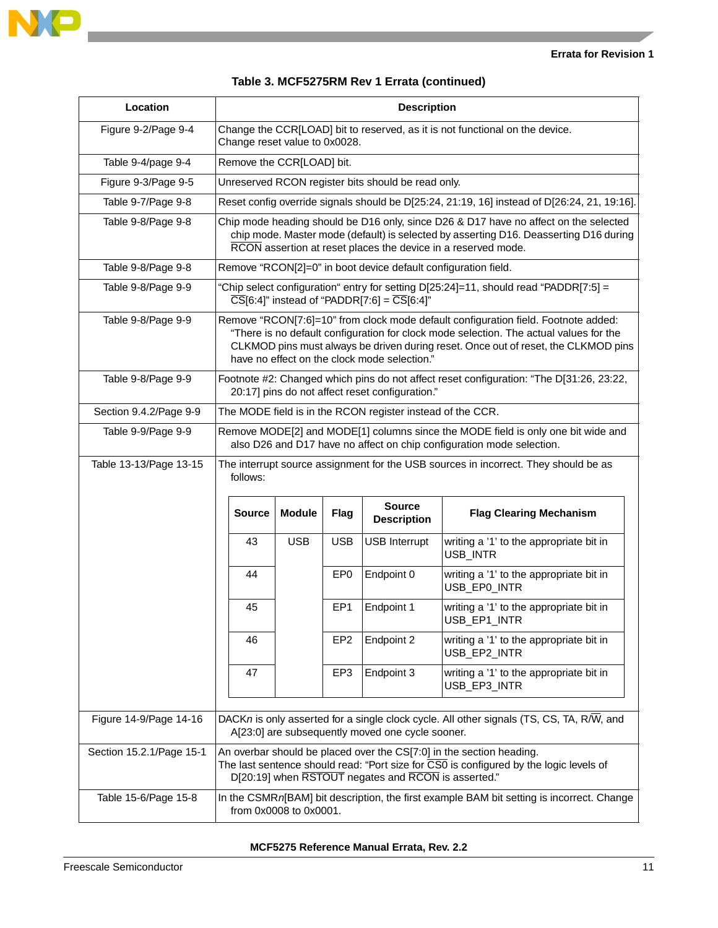

a sa kacamatan ing Kabupatèn Kabupatèn Ing

| Table 3. MCF5275RM Rev 1 Errata (continued) |  |  |
|---------------------------------------------|--|--|
|---------------------------------------------|--|--|

| Location                 | <b>Description</b>                                                                                                                                                                                                                                                                                                 |                                                            |                 |                                                                |                                                                                                         |  |
|--------------------------|--------------------------------------------------------------------------------------------------------------------------------------------------------------------------------------------------------------------------------------------------------------------------------------------------------------------|------------------------------------------------------------|-----------------|----------------------------------------------------------------|---------------------------------------------------------------------------------------------------------|--|
| Figure 9-2/Page 9-4      | Change the CCR[LOAD] bit to reserved, as it is not functional on the device.<br>Change reset value to 0x0028.                                                                                                                                                                                                      |                                                            |                 |                                                                |                                                                                                         |  |
| Table 9-4/page 9-4       |                                                                                                                                                                                                                                                                                                                    | Remove the CCR[LOAD] bit.                                  |                 |                                                                |                                                                                                         |  |
| Figure 9-3/Page 9-5      | Unreserved RCON register bits should be read only.                                                                                                                                                                                                                                                                 |                                                            |                 |                                                                |                                                                                                         |  |
| Table 9-7/Page 9-8       | Reset config override signals should be D[25:24, 21:19, 16] instead of D[26:24, 21, 19:16].                                                                                                                                                                                                                        |                                                            |                 |                                                                |                                                                                                         |  |
| Table 9-8/Page 9-8       | Chip mode heading should be D16 only, since D26 & D17 have no affect on the selected<br>chip mode. Master mode (default) is selected by asserting D16. Deasserting D16 during<br>RCON assertion at reset places the device in a reserved mode.                                                                     |                                                            |                 |                                                                |                                                                                                         |  |
| Table 9-8/Page 9-8       |                                                                                                                                                                                                                                                                                                                    |                                                            |                 | Remove "RCON[2]=0" in boot device default configuration field. |                                                                                                         |  |
| Table 9-8/Page 9-9       | "Chip select configuration" entry for setting D[25:24]=11, should read "PADDR[7:5] =<br>$\overline{CS}[6:4]$ " instead of "PADDR[7:6] = $\overline{CS}[6:4]$ "                                                                                                                                                     |                                                            |                 |                                                                |                                                                                                         |  |
| Table 9-8/Page 9-9       | Remove "RCON[7:6]=10" from clock mode default configuration field. Footnote added:<br>"There is no default configuration for clock mode selection. The actual values for the<br>CLKMOD pins must always be driven during reset. Once out of reset, the CLKMOD pins<br>have no effect on the clock mode selection." |                                                            |                 |                                                                |                                                                                                         |  |
| Table 9-8/Page 9-9       | Footnote #2: Changed which pins do not affect reset configuration: "The D[31:26, 23:22,<br>20:17] pins do not affect reset configuration."                                                                                                                                                                         |                                                            |                 |                                                                |                                                                                                         |  |
| Section 9.4.2/Page 9-9   |                                                                                                                                                                                                                                                                                                                    | The MODE field is in the RCON register instead of the CCR. |                 |                                                                |                                                                                                         |  |
| Table 9-9/Page 9-9       | Remove MODE[2] and MODE[1] columns since the MODE field is only one bit wide and<br>also D26 and D17 have no affect on chip configuration mode selection.                                                                                                                                                          |                                                            |                 |                                                                |                                                                                                         |  |
| Table 13-13/Page 13-15   | The interrupt source assignment for the USB sources in incorrect. They should be as<br>follows:                                                                                                                                                                                                                    |                                                            |                 |                                                                |                                                                                                         |  |
|                          | Source                                                                                                                                                                                                                                                                                                             | <b>Module</b>                                              | Flag            | <b>Source</b><br><b>Description</b>                            | <b>Flag Clearing Mechanism</b>                                                                          |  |
|                          | 43                                                                                                                                                                                                                                                                                                                 | <b>USB</b>                                                 | <b>USB</b>      | <b>USB</b> Interrupt                                           | writing a '1' to the appropriate bit in<br>USB_INTR                                                     |  |
|                          | 44                                                                                                                                                                                                                                                                                                                 |                                                            | EP <sub>0</sub> | Endpoint 0                                                     | writing a '1' to the appropriate bit in<br>USB_EP0_INTR                                                 |  |
|                          | 45                                                                                                                                                                                                                                                                                                                 |                                                            | EP <sub>1</sub> | Endpoint 1                                                     | writing a '1' to the appropriate bit in<br>USB_EP1_INTR                                                 |  |
|                          | 46                                                                                                                                                                                                                                                                                                                 |                                                            | EP <sub>2</sub> | Endpoint 2                                                     | writing a '1' to the appropriate bit in<br>USB_EP2_INTR                                                 |  |
|                          | 47                                                                                                                                                                                                                                                                                                                 |                                                            | EP <sub>3</sub> | Endpoint 3                                                     | writing a '1' to the appropriate bit in<br>USB_EP3_INTR                                                 |  |
| Figure 14-9/Page 14-16   |                                                                                                                                                                                                                                                                                                                    |                                                            |                 | A[23:0] are subsequently moved one cycle sooner.               | DACKn is only asserted for a single clock cycle. All other signals (TS, CS, TA, R/ $\overline{W}$ , and |  |
| Section 15.2.1/Page 15-1 | An overbar should be placed over the CS[7:0] in the section heading.<br>The last sentence should read: "Port size for $\overline{CS0}$ is configured by the logic levels of<br>D[20:19] when RSTOUT negates and RCON is asserted."                                                                                 |                                                            |                 |                                                                |                                                                                                         |  |
| Table 15-6/Page 15-8     | In the CSMRn[BAM] bit description, the first example BAM bit setting is incorrect. Change<br>from 0x0008 to 0x0001.                                                                                                                                                                                                |                                                            |                 |                                                                |                                                                                                         |  |

**MCF5275 Reference Manual Errata, Rev. 2.2**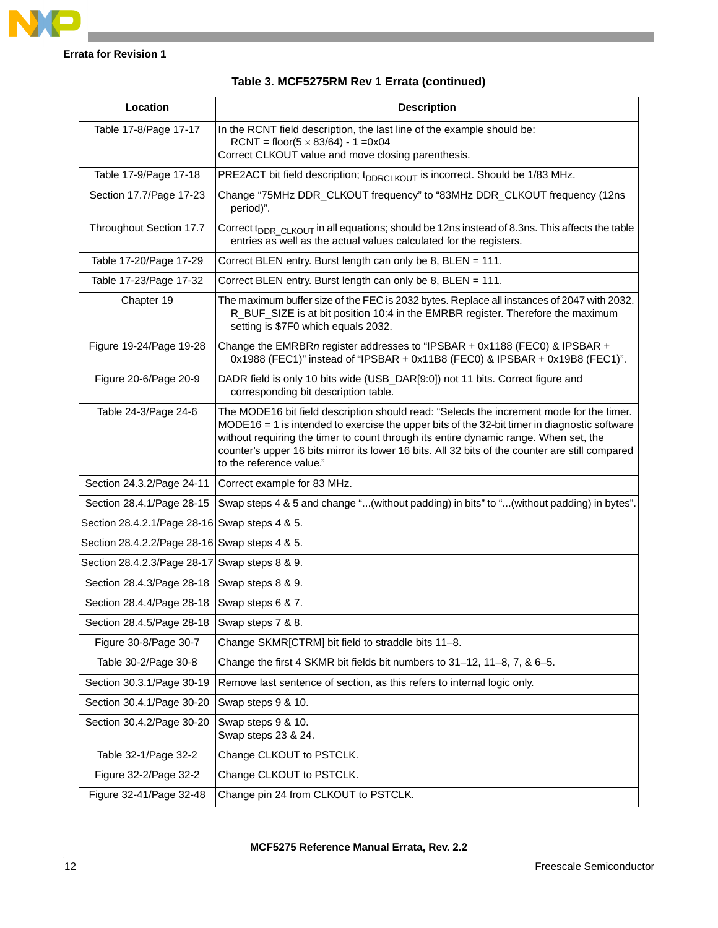

| Location                                      | <b>Description</b>                                                                                                                                                                                                                                                                                                                                                                                                |
|-----------------------------------------------|-------------------------------------------------------------------------------------------------------------------------------------------------------------------------------------------------------------------------------------------------------------------------------------------------------------------------------------------------------------------------------------------------------------------|
| Table 17-8/Page 17-17                         | In the RCNT field description, the last line of the example should be:<br>RCNT = floor( $5 \times 83/64$ ) - 1 = 0x04<br>Correct CLKOUT value and move closing parenthesis.                                                                                                                                                                                                                                       |
| Table 17-9/Page 17-18                         | PRE2ACT bit field description; t <sub>DDRCLKOUT</sub> is incorrect. Should be 1/83 MHz.                                                                                                                                                                                                                                                                                                                           |
| Section 17.7/Page 17-23                       | Change "75MHz DDR_CLKOUT frequency" to "83MHz DDR_CLKOUT frequency (12ns<br>period)".                                                                                                                                                                                                                                                                                                                             |
| Throughout Section 17.7                       | Correct t <sub>DDR CLKOUT</sub> in all equations; should be 12ns instead of 8.3ns. This affects the table<br>entries as well as the actual values calculated for the registers.                                                                                                                                                                                                                                   |
| Table 17-20/Page 17-29                        | Correct BLEN entry. Burst length can only be 8, BLEN = 111.                                                                                                                                                                                                                                                                                                                                                       |
| Table 17-23/Page 17-32                        | Correct BLEN entry. Burst length can only be 8, BLEN = 111.                                                                                                                                                                                                                                                                                                                                                       |
| Chapter 19                                    | The maximum buffer size of the FEC is 2032 bytes. Replace all instances of 2047 with 2032.<br>R_BUF_SIZE is at bit position 10:4 in the EMRBR register. Therefore the maximum<br>setting is \$7F0 which equals 2032.                                                                                                                                                                                              |
| Figure 19-24/Page 19-28                       | Change the EMRBRn register addresses to "IPSBAR + 0x1188 (FEC0) & IPSBAR +<br>0x1988 (FEC1)" instead of "IPSBAR + 0x11B8 (FEC0) & IPSBAR + 0x19B8 (FEC1)".                                                                                                                                                                                                                                                        |
| Figure 20-6/Page 20-9                         | DADR field is only 10 bits wide (USB_DAR[9:0]) not 11 bits. Correct figure and<br>corresponding bit description table.                                                                                                                                                                                                                                                                                            |
| Table 24-3/Page 24-6                          | The MODE16 bit field description should read: "Selects the increment mode for the timer.<br>$MODE16 = 1$ is intended to exercise the upper bits of the 32-bit timer in diagnostic software<br>without requiring the timer to count through its entire dynamic range. When set, the<br>counter's upper 16 bits mirror its lower 16 bits. All 32 bits of the counter are still compared<br>to the reference value." |
| Section 24.3.2/Page 24-11                     | Correct example for 83 MHz.                                                                                                                                                                                                                                                                                                                                                                                       |
| Section 28.4.1/Page 28-15                     | Swap steps 4 & 5 and change "(without padding) in bits" to "(without padding) in bytes".                                                                                                                                                                                                                                                                                                                          |
| Section 28.4.2.1/Page 28-16                   | Swap steps 4 & 5.                                                                                                                                                                                                                                                                                                                                                                                                 |
| Section 28.4.2.2/Page 28-16 Swap steps 4 & 5. |                                                                                                                                                                                                                                                                                                                                                                                                                   |
| Section 28.4.2.3/Page 28-17                   | Swap steps 8 & 9.                                                                                                                                                                                                                                                                                                                                                                                                 |
| Section 28.4.3/Page 28-18                     | Swap steps 8 & 9.                                                                                                                                                                                                                                                                                                                                                                                                 |
| Section 28.4.4/Page 28-18                     | Swap steps 6 & 7.                                                                                                                                                                                                                                                                                                                                                                                                 |
| Section 28.4.5/Page 28-18                     | Swap steps 7 & 8.                                                                                                                                                                                                                                                                                                                                                                                                 |
| Figure 30-8/Page 30-7                         | Change SKMR[CTRM] bit field to straddle bits 11-8.                                                                                                                                                                                                                                                                                                                                                                |
| Table 30-2/Page 30-8                          | Change the first 4 SKMR bit fields bit numbers to 31-12, 11-8, 7, & 6-5.                                                                                                                                                                                                                                                                                                                                          |
| Section 30.3.1/Page 30-19                     | Remove last sentence of section, as this refers to internal logic only.                                                                                                                                                                                                                                                                                                                                           |
| Section 30.4.1/Page 30-20                     | Swap steps 9 & 10.                                                                                                                                                                                                                                                                                                                                                                                                |
| Section 30.4.2/Page 30-20                     | Swap steps 9 & 10.<br>Swap steps 23 & 24.                                                                                                                                                                                                                                                                                                                                                                         |
| Table 32-1/Page 32-2                          | Change CLKOUT to PSTCLK.                                                                                                                                                                                                                                                                                                                                                                                          |
| Figure 32-2/Page 32-2                         | Change CLKOUT to PSTCLK.                                                                                                                                                                                                                                                                                                                                                                                          |
| Figure 32-41/Page 32-48                       | Change pin 24 from CLKOUT to PSTCLK.                                                                                                                                                                                                                                                                                                                                                                              |

#### **Table 3. MCF5275RM Rev 1 Errata (continued)**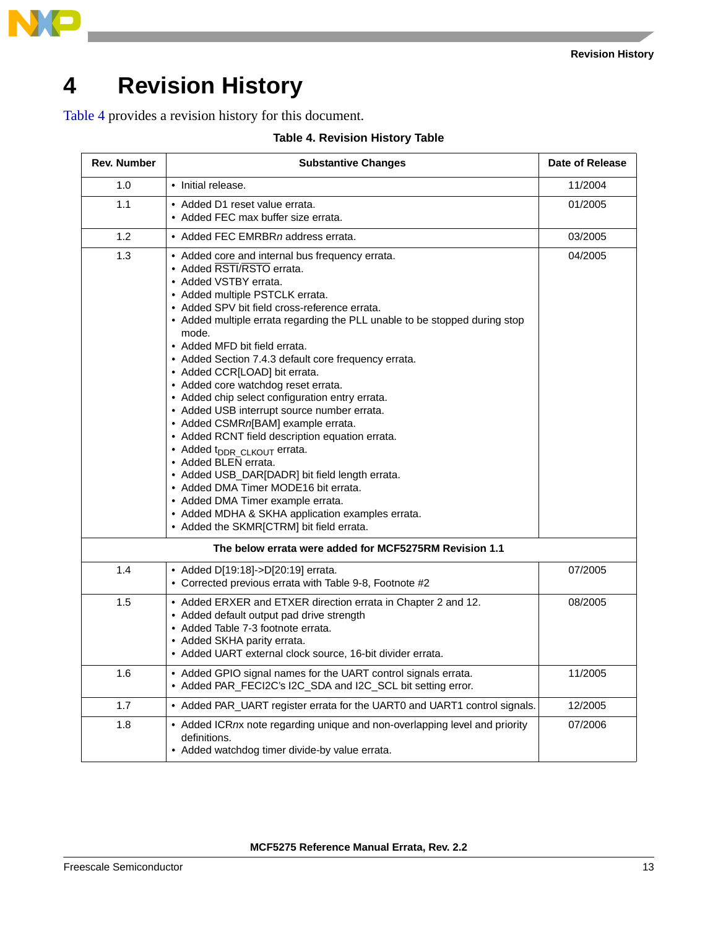

### <span id="page-12-0"></span>**4 Revision History**

<span id="page-12-1"></span>[Table 4](#page-12-1) provides a revision history for this document.

#### **Table 4. Revision History Table**

| <b>Rev. Number</b>                                     | <b>Substantive Changes</b>                                                                                                                                                                                                                                                                                                                                                                                                                                                                                                                                                                                                                                                                                                                                                                                                                                                                                                                     | Date of Release |  |  |
|--------------------------------------------------------|------------------------------------------------------------------------------------------------------------------------------------------------------------------------------------------------------------------------------------------------------------------------------------------------------------------------------------------------------------------------------------------------------------------------------------------------------------------------------------------------------------------------------------------------------------------------------------------------------------------------------------------------------------------------------------------------------------------------------------------------------------------------------------------------------------------------------------------------------------------------------------------------------------------------------------------------|-----------------|--|--|
| 1.0                                                    | • Initial release.                                                                                                                                                                                                                                                                                                                                                                                                                                                                                                                                                                                                                                                                                                                                                                                                                                                                                                                             | 11/2004         |  |  |
| 1.1                                                    | • Added D1 reset value errata.<br>• Added FEC max buffer size errata.                                                                                                                                                                                                                                                                                                                                                                                                                                                                                                                                                                                                                                                                                                                                                                                                                                                                          | 01/2005         |  |  |
| 1.2                                                    | • Added FEC EMRBRn address errata.                                                                                                                                                                                                                                                                                                                                                                                                                                                                                                                                                                                                                                                                                                                                                                                                                                                                                                             | 03/2005         |  |  |
| 1.3                                                    | • Added core and internal bus frequency errata.<br>• Added RSTI/RSTO errata.<br>• Added VSTBY errata.<br>• Added multiple PSTCLK errata.<br>• Added SPV bit field cross-reference errata.<br>• Added multiple errata regarding the PLL unable to be stopped during stop<br>mode.<br>• Added MFD bit field errata.<br>• Added Section 7.4.3 default core frequency errata.<br>• Added CCR[LOAD] bit errata.<br>• Added core watchdog reset errata.<br>• Added chip select configuration entry errata.<br>• Added USB interrupt source number errata.<br>• Added CSMRn[BAM] example errata.<br>• Added RCNT field description equation errata.<br>• Added t <sub>DDR CLKOUT</sub> errata.<br>• Added BLEN errata.<br>• Added USB_DAR[DADR] bit field length errata.<br>• Added DMA Timer MODE16 bit errata.<br>• Added DMA Timer example errata.<br>• Added MDHA & SKHA application examples errata.<br>• Added the SKMR[CTRM] bit field errata. | 04/2005         |  |  |
| The below errata were added for MCF5275RM Revision 1.1 |                                                                                                                                                                                                                                                                                                                                                                                                                                                                                                                                                                                                                                                                                                                                                                                                                                                                                                                                                |                 |  |  |
| 1.4                                                    | • Added D[19:18]->D[20:19] errata.<br>• Corrected previous errata with Table 9-8, Footnote #2                                                                                                                                                                                                                                                                                                                                                                                                                                                                                                                                                                                                                                                                                                                                                                                                                                                  | 07/2005         |  |  |
| 1.5                                                    | • Added ERXER and ETXER direction errata in Chapter 2 and 12.<br>• Added default output pad drive strength<br>• Added Table 7-3 footnote errata.<br>• Added SKHA parity errata.<br>• Added UART external clock source, 16-bit divider errata.                                                                                                                                                                                                                                                                                                                                                                                                                                                                                                                                                                                                                                                                                                  | 08/2005         |  |  |
| 1.6                                                    | • Added GPIO signal names for the UART control signals errata.<br>• Added PAR_FECI2C's I2C_SDA and I2C_SCL bit setting error.                                                                                                                                                                                                                                                                                                                                                                                                                                                                                                                                                                                                                                                                                                                                                                                                                  | 11/2005         |  |  |
| 1.7                                                    | • Added PAR_UART register errata for the UART0 and UART1 control signals.                                                                                                                                                                                                                                                                                                                                                                                                                                                                                                                                                                                                                                                                                                                                                                                                                                                                      | 12/2005         |  |  |
| 1.8                                                    | • Added ICRnx note regarding unique and non-overlapping level and priority<br>definitions.<br>• Added watchdog timer divide-by value errata.                                                                                                                                                                                                                                                                                                                                                                                                                                                                                                                                                                                                                                                                                                                                                                                                   | 07/2006         |  |  |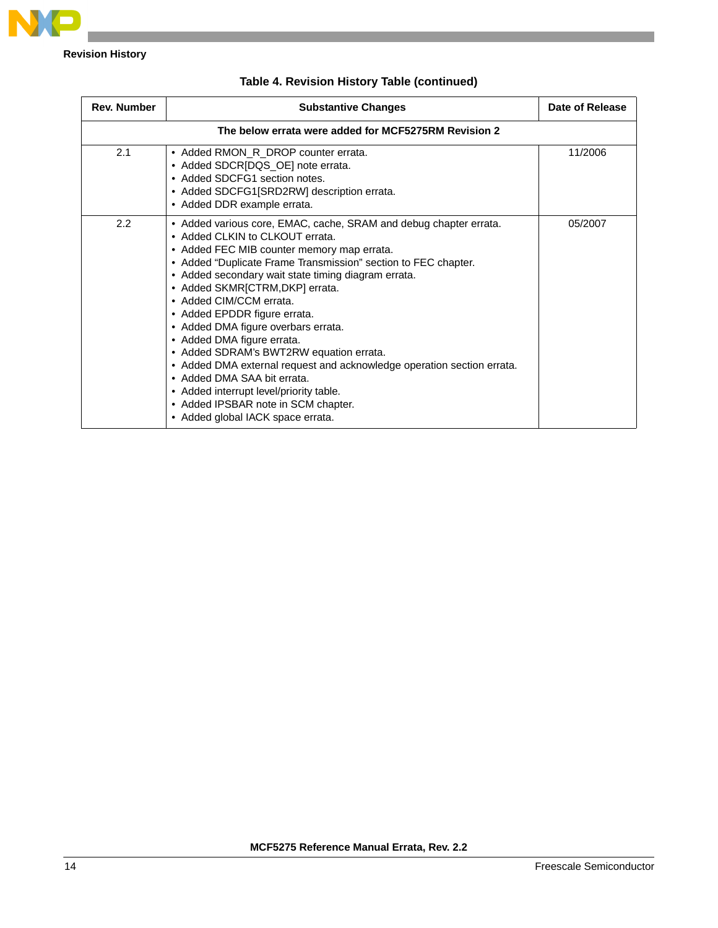

#### **Revision History**

| <b>Rev. Number</b>                                   | <b>Substantive Changes</b>                                                                                                                                                                                                                                                                                                                                                                                                                                                                                                                                                                                                                                                                                                | Date of Release |  |  |
|------------------------------------------------------|---------------------------------------------------------------------------------------------------------------------------------------------------------------------------------------------------------------------------------------------------------------------------------------------------------------------------------------------------------------------------------------------------------------------------------------------------------------------------------------------------------------------------------------------------------------------------------------------------------------------------------------------------------------------------------------------------------------------------|-----------------|--|--|
| The below errata were added for MCF5275RM Revision 2 |                                                                                                                                                                                                                                                                                                                                                                                                                                                                                                                                                                                                                                                                                                                           |                 |  |  |
| 2.1                                                  | • Added RMON_R_DROP counter errata.<br>• Added SDCR[DQS_OE] note errata.<br>• Added SDCFG1 section notes.<br>• Added SDCFG1[SRD2RW] description errata.<br>• Added DDR example errata.                                                                                                                                                                                                                                                                                                                                                                                                                                                                                                                                    | 11/2006         |  |  |
| 2.2                                                  | • Added various core, EMAC, cache, SRAM and debug chapter errata.<br>• Added CLKIN to CLKOUT errata.<br>• Added FEC MIB counter memory map errata.<br>• Added "Duplicate Frame Transmission" section to FEC chapter.<br>• Added secondary wait state timing diagram errata.<br>• Added SKMR[CTRM, DKP] errata.<br>• Added CIM/CCM errata.<br>• Added EPDDR figure errata.<br>• Added DMA figure overbars errata.<br>• Added DMA figure errata.<br>• Added SDRAM's BWT2RW equation errata.<br>• Added DMA external request and acknowledge operation section errata.<br>• Added DMA SAA bit errata.<br>• Added interrupt level/priority table.<br>• Added IPSBAR note in SCM chapter.<br>• Added global IACK space errata. | 05/2007         |  |  |

#### **Table 4. Revision History Table (continued)**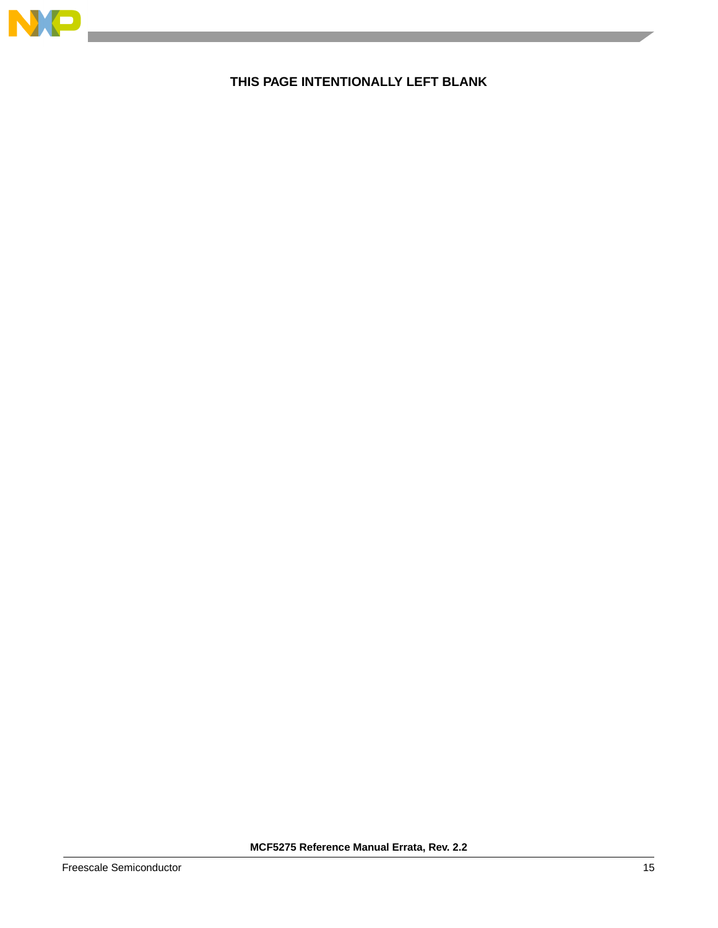

#### **THIS PAGE INTENTIONALLY LEFT BLANK**